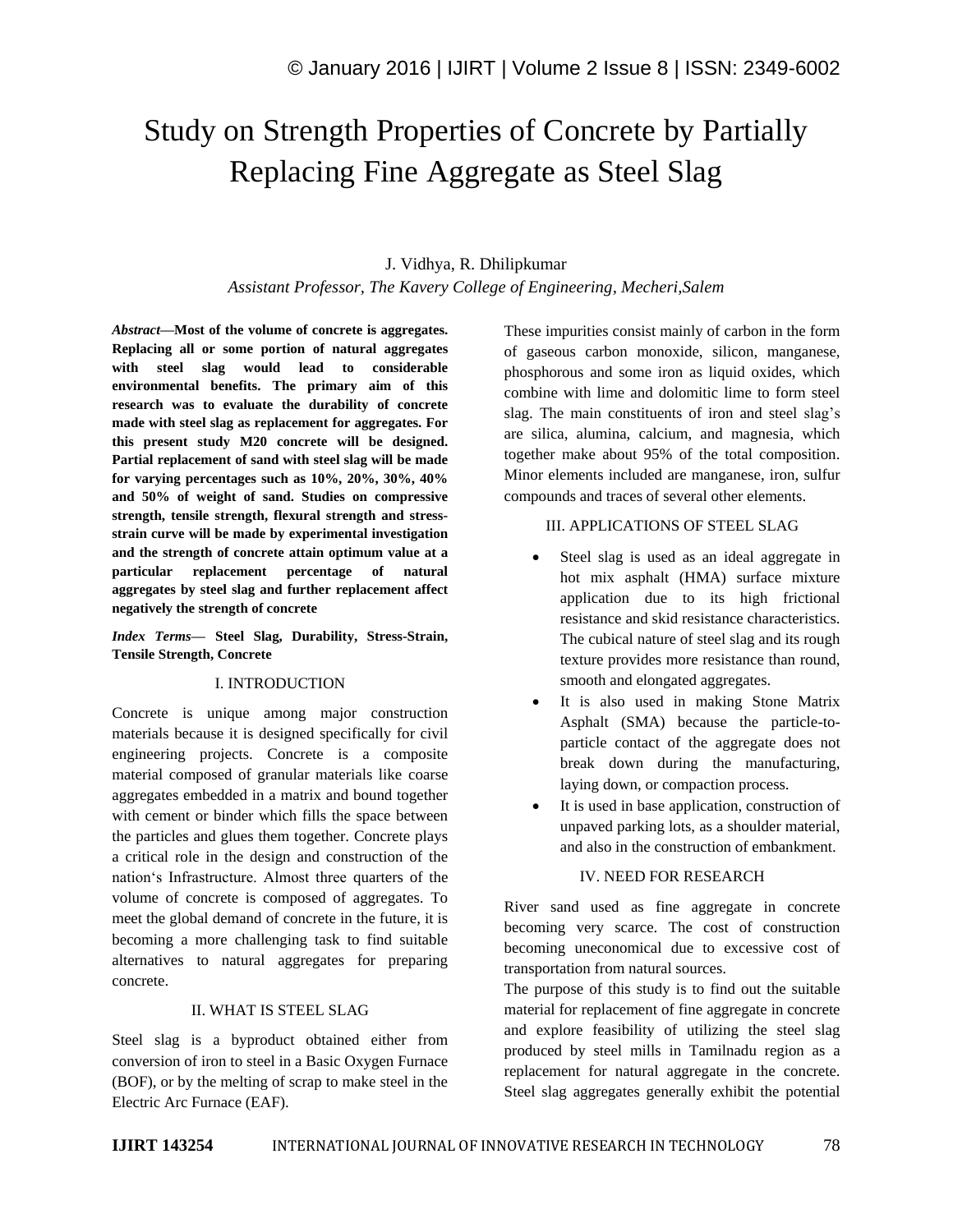# Study on Strength Properties of Concrete by Partially Replacing Fine Aggregate as Steel Slag

## J. Vidhya, R. Dhilipkumar

*Assistant Professor, The Kavery College of Engineering, Mecheri,Salem* 

*Abstract—***Most of the volume of concrete is aggregates. Replacing all or some portion of natural aggregates with steel slag would lead to considerable environmental benefits. The primary aim of this research was to evaluate the durability of concrete made with steel slag as replacement for aggregates. For this present study M20 concrete will be designed. Partial replacement of sand with steel slag will be made for varying percentages such as 10%, 20%, 30%, 40% and 50% of weight of sand. Studies on compressive strength, tensile strength, flexural strength and stressstrain curve will be made by experimental investigation and the strength of concrete attain optimum value at a particular replacement percentage of natural aggregates by steel slag and further replacement affect negatively the strength of concrete**

*Index Terms—* **Steel Slag, Durability, Stress-Strain, Tensile Strength, Concrete**

### I. INTRODUCTION

Concrete is unique among major construction materials because it is designed specifically for civil engineering projects. Concrete is a composite material composed of granular materials like coarse aggregates embedded in a matrix and bound together with cement or binder which fills the space between the particles and glues them together. Concrete plays a critical role in the design and construction of the nation's Infrastructure. Almost three quarters of the volume of concrete is composed of aggregates. To meet the global demand of concrete in the future, it is becoming a more challenging task to find suitable alternatives to natural aggregates for preparing concrete.

### II. WHAT IS STEEL SLAG

Steel slag is a byproduct obtained either from conversion of iron to steel in a Basic Oxygen Furnace (BOF), or by the melting of scrap to make steel in the Electric Arc Furnace (EAF).

These impurities consist mainly of carbon in the form of gaseous carbon monoxide, silicon, manganese, phosphorous and some iron as liquid oxides, which combine with lime and dolomitic lime to form steel slag. The main constituents of iron and steel slag's are silica, alumina, calcium, and magnesia, which together make about 95% of the total composition. Minor elements included are manganese, iron, sulfur compounds and traces of several other elements.

### III. APPLICATIONS OF STEEL SLAG

- Steel slag is used as an ideal aggregate in hot mix asphalt (HMA) surface mixture application due to its high frictional resistance and skid resistance characteristics. The cubical nature of steel slag and its rough texture provides more resistance than round, smooth and elongated aggregates.
- It is also used in making Stone Matrix Asphalt (SMA) because the particle-toparticle contact of the aggregate does not break down during the manufacturing, laying down, or compaction process.
- It is used in base application, construction of unpaved parking lots, as a shoulder material, and also in the construction of embankment.

#### IV. NEED FOR RESEARCH

River sand used as fine aggregate in concrete becoming very scarce. The cost of construction becoming uneconomical due to excessive cost of transportation from natural sources.

The purpose of this study is to find out the suitable material for replacement of fine aggregate in concrete and explore feasibility of utilizing the steel slag produced by steel mills in Tamilnadu region as a replacement for natural aggregate in the concrete. Steel slag aggregates generally exhibit the potential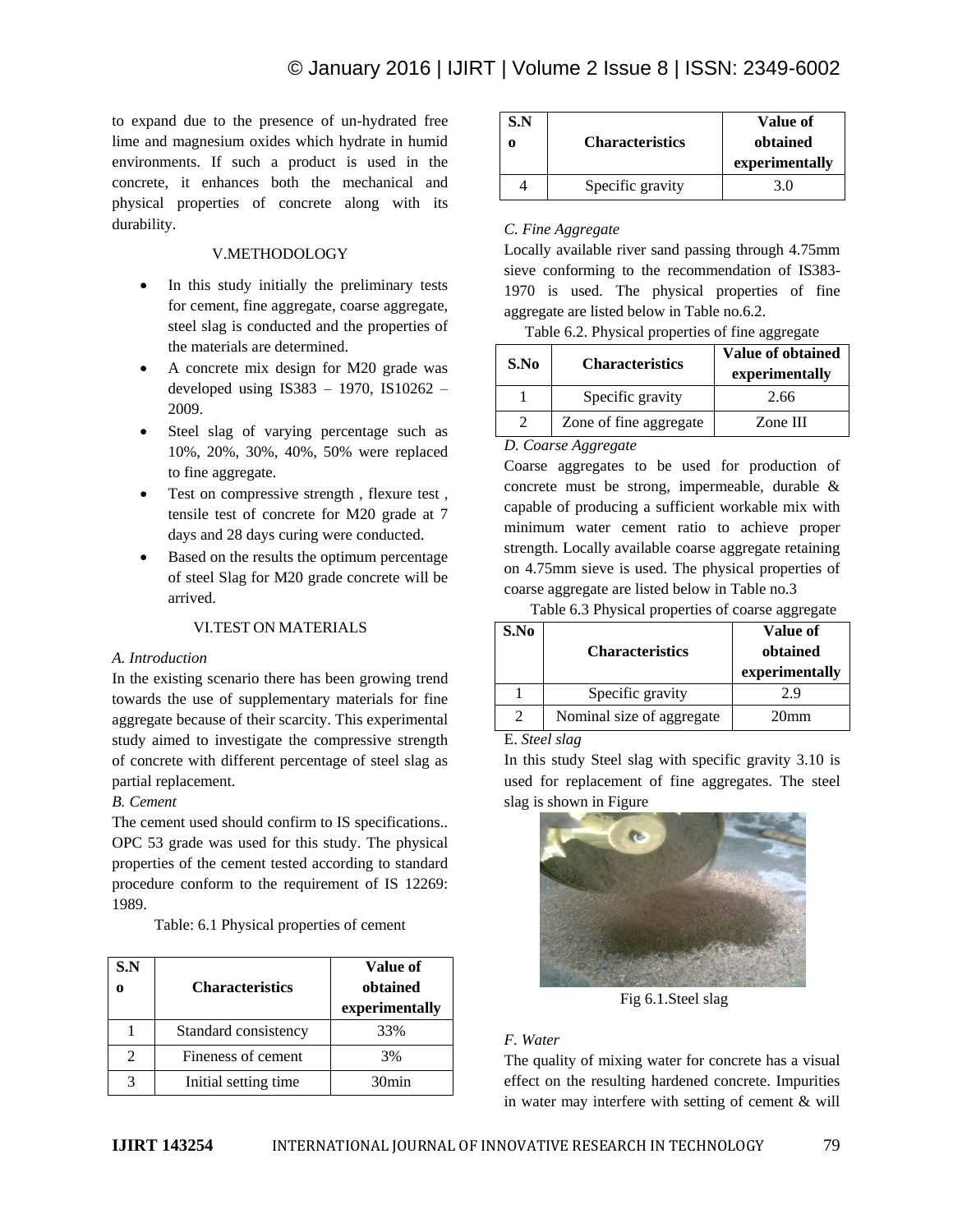to expand due to the presence of un-hydrated free lime and magnesium oxides which hydrate in humid environments. If such a product is used in the concrete, it enhances both the mechanical and physical properties of concrete along with its durability.

## V.METHODOLOGY

- In this study initially the preliminary tests for cement, fine aggregate, coarse aggregate, steel slag is conducted and the properties of the materials are determined.
- A concrete mix design for M20 grade was developed using IS383 – 1970, IS10262 – 2009.
- Steel slag of varying percentage such as 10%, 20%, 30%, 40%, 50% were replaced to fine aggregate.
- Test on compressive strength, flexure test, tensile test of concrete for M20 grade at 7 days and 28 days curing were conducted.
- Based on the results the optimum percentage of steel Slag for M20 grade concrete will be arrived.

### VI.TEST ON MATERIALS

### *A. Introduction*

In the existing scenario there has been growing trend towards the use of supplementary materials for fine aggregate because of their scarcity. This experimental study aimed to investigate the compressive strength of concrete with different percentage of steel slag as partial replacement.

### *B. Cement*

The cement used should confirm to IS specifications.. OPC 53 grade was used for this study. The physical properties of the cement tested according to standard procedure conform to the requirement of IS 12269: 1989.

Table: 6.1 Physical properties of cement

| S.N | <b>Characteristics</b> | Value of<br>obtained<br>experimentally |
|-----|------------------------|----------------------------------------|
|     | Standard consistency   | 33%                                    |
|     | Fineness of cement     | 3%                                     |
|     | Initial setting time.  | 30min                                  |

| S.N | <b>Characteristics</b> | Value of<br>obtained<br>experimentally |
|-----|------------------------|----------------------------------------|
|     | Specific gravity       | 3.0                                    |

## *C. Fine Aggregate*

Locally available river sand passing through 4.75mm sieve conforming to the recommendation of IS383- 1970 is used. The physical properties of fine aggregate are listed below in Table no.6.2.

Table 6.2. Physical properties of fine aggregate

| S.No | <b>Characteristics</b> | Value of obtained<br>experimentally |
|------|------------------------|-------------------------------------|
|      | Specific gravity       | 2.66                                |
|      | Zone of fine aggregate | Zone III                            |

*D. Coarse Aggregate*

Coarse aggregates to be used for production of concrete must be strong, impermeable, durable & capable of producing a sufficient workable mix with minimum water cement ratio to achieve proper strength. Locally available coarse aggregate retaining on 4.75mm sieve is used. The physical properties of coarse aggregate are listed below in Table no.3

Table 6.3 Physical properties of coarse aggregate

| S.No | <b>Characteristics</b>    | Value of<br>obtained<br>experimentally |
|------|---------------------------|----------------------------------------|
|      | Specific gravity          | 2.9                                    |
| 2    | Nominal size of aggregate | 20 <sub>mm</sub>                       |

E. *Steel slag*

In this study Steel slag with specific gravity 3.10 is used for replacement of fine aggregates. The steel slag is shown in Figure



Fig 6.1.Steel slag

# *F. Water*

The quality of mixing water for concrete has a visual effect on the resulting hardened concrete. Impurities in water may interfere with setting of cement & will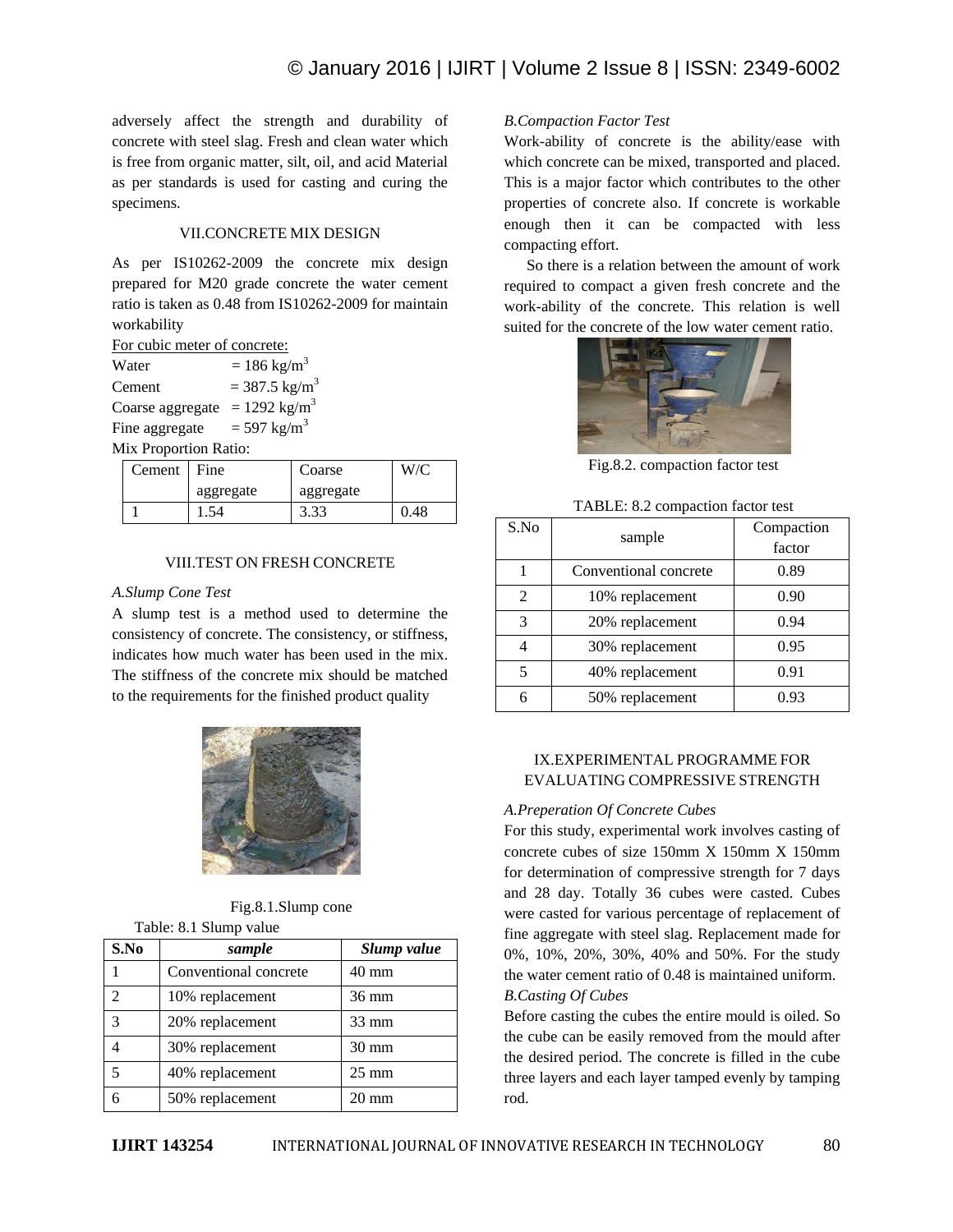adversely affect the strength and durability of concrete with steel slag. Fresh and clean water which is free from organic matter, silt, oil, and acid Material as per standards is used for casting and curing the specimens.

#### VII.CONCRETE MIX DESIGN

As per IS10262-2009 the concrete mix design prepared for M20 grade concrete the water cement ratio is taken as 0.48 from IS10262-2009 for maintain workability

| Water            | $= 186$ kg/m <sup>3</sup>   |
|------------------|-----------------------------|
| Cement           | $= 387.5$ kg/m <sup>3</sup> |
| Coarse aggregate | $= 1292$ kg/m <sup>3</sup>  |
| Fine aggregate   | $= 597$ kg/m <sup>3</sup>   |
|                  |                             |

Mix Proportion Ratio:

| Cement | Fine      | Coarse    |     |
|--------|-----------|-----------|-----|
|        | aggregate | aggregate |     |
|        |           | 3.33      | .48 |

#### VIII.TEST ON FRESH CONCRETE

#### *A.Slump Cone Test*

A slump test is a method used to determine the consistency of concrete. The consistency, or stiffness, indicates how much water has been used in the mix. The stiffness of the concrete mix should be matched to the requirements for the finished product quality



Fig.8.1.Slump cone Table: 8.1 Slump value

| S.No                        | sample                | Slump value     |
|-----------------------------|-----------------------|-----------------|
|                             | Conventional concrete | $40 \text{ mm}$ |
| $\mathcal{D}_{\mathcal{A}}$ | 10% replacement       | $36 \text{ mm}$ |
| 3                           | 20% replacement       | $33 \text{ mm}$ |
|                             | 30% replacement       | $30 \text{ mm}$ |
| 5                           | 40% replacement       | $25 \text{ mm}$ |
|                             | 50% replacement       | $20 \text{ mm}$ |

#### *B.Compaction Factor Test*

Work-ability of concrete is the ability/ease with which concrete can be mixed, transported and placed. This is a major factor which contributes to the other properties of concrete also. If concrete is workable enough then it can be compacted with less compacting effort.

So there is a relation between the amount of work required to compact a given fresh concrete and the work-ability of the concrete. This relation is well suited for the concrete of the low water cement ratio.



Fig.8.2. compaction factor test

| TABLE: 8.2 compaction factor test |        |
|-----------------------------------|--------|
|                                   | Compar |

| S.No | sample                | Compaction |
|------|-----------------------|------------|
|      |                       | factor     |
|      | Conventional concrete | 0.89       |
| 2    | 10% replacement       | 0.90       |
| 3    | 20% replacement       | 0.94       |
| 4    | 30% replacement       | 0.95       |
| 5    | 40% replacement       | 0.91       |
| 6    | 50% replacement       | 0.93       |

## IX.EXPERIMENTAL PROGRAMME FOR EVALUATING COMPRESSIVE STRENGTH

#### *A.Preperation Of Concrete Cubes*

For this study, experimental work involves casting of concrete cubes of size 150mm X 150mm X 150mm for determination of compressive strength for 7 days and 28 day. Totally 36 cubes were casted. Cubes were casted for various percentage of replacement of fine aggregate with steel slag. Replacement made for 0%, 10%, 20%, 30%, 40% and 50%. For the study the water cement ratio of 0.48 is maintained uniform. *B.Casting Of Cubes*

Before casting the cubes the entire mould is oiled. So the cube can be easily removed from the mould after the desired period. The concrete is filled in the cube three layers and each layer tamped evenly by tamping rod.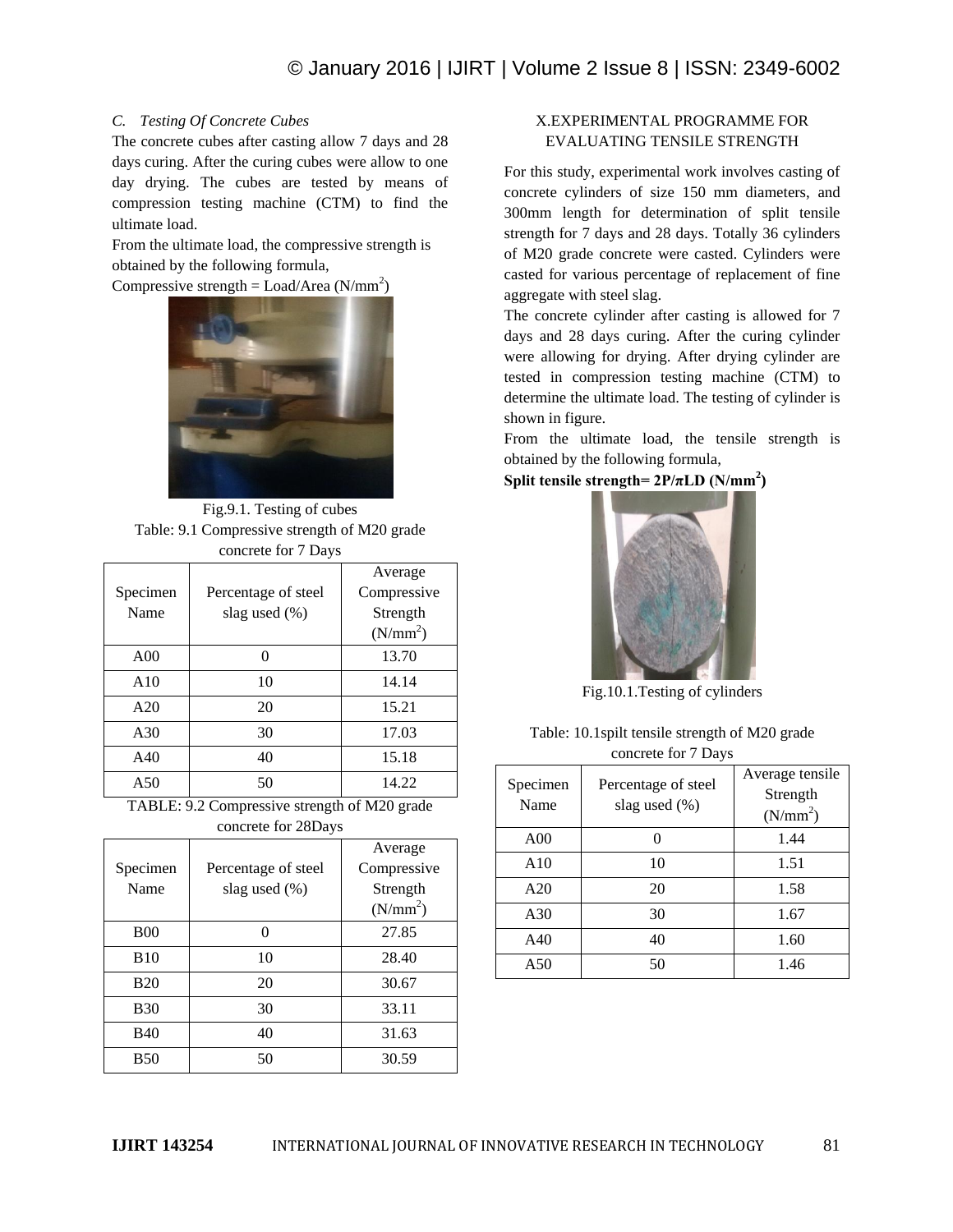# *C. Testing Of Concrete Cubes*

The concrete cubes after casting allow 7 days and 28 days curing. After the curing cubes were allow to one day drying. The cubes are tested by means of compression testing machine (CTM) to find the ultimate load.

From the ultimate load, the compressive strength is obtained by the following formula,

Compressive strength = Load/Area ( $N/mm^2$ )



Fig.9.1. Testing of cubes Table: 9.1 Compressive strength of M20 grade concrete for 7 Days

| $\frac{1}{2}$ . The state $\frac{1}{2}$ of $\frac{1}{2}$ . The state $\frac{1}{2}$ |                     |                      |
|------------------------------------------------------------------------------------|---------------------|----------------------|
|                                                                                    |                     | Average              |
| Specimen                                                                           | Percentage of steel | Compressive          |
| Name                                                                               | slag used (%)       | Strength             |
|                                                                                    |                     | (N/mm <sup>2</sup> ) |
| A <sub>00</sub>                                                                    | 0                   | 13.70                |
| A10                                                                                | 10                  | 14.14                |
| A20                                                                                | 20                  | 15.21                |
| A30                                                                                | 30                  | 17.03                |
| A40                                                                                | 40                  | 15.18                |
| A50                                                                                | 50                  | 14.22                |
|                                                                                    |                     |                      |

TABLE: 9.2 Compressive strength of M20 grade concrete for 28Days

| Specimen    | Percentage of steel | Average<br>Compressive |
|-------------|---------------------|------------------------|
| Name        | slag used (%)       | Strength               |
|             |                     | (N/mm <sup>2</sup> )   |
| <b>B00</b>  |                     | 27.85                  |
| <b>B</b> 10 | 10                  | 28.40                  |
| <b>B20</b>  | 20                  | 30.67                  |
| <b>B</b> 30 | 30                  | 33.11                  |
| <b>B40</b>  | 40                  | 31.63                  |
| <b>B50</b>  | 50                  | 30.59                  |

# X.EXPERIMENTAL PROGRAMME FOR EVALUATING TENSILE STRENGTH

For this study, experimental work involves casting of concrete cylinders of size 150 mm diameters, and 300mm length for determination of split tensile strength for 7 days and 28 days. Totally 36 cylinders of M20 grade concrete were casted. Cylinders were casted for various percentage of replacement of fine aggregate with steel slag.

The concrete cylinder after casting is allowed for 7 days and 28 days curing. After the curing cylinder were allowing for drying. After drying cylinder are tested in compression testing machine (CTM) to determine the ultimate load. The testing of cylinder is shown in figure.

From the ultimate load, the tensile strength is obtained by the following formula,

**Split tensile strength=**  $2P/\pi LD$  **(N/mm<sup>2</sup>)** 



Fig.10.1.Testing of cylinders

| Table: 10.1 spilt tensile strength of M20 grade |
|-------------------------------------------------|
| concrete for 7 Days                             |

| Specimen<br>Name | Percentage of steel<br>slag used (%) | Average tensile<br>Strength<br>(N/mm <sup>2</sup> ) |
|------------------|--------------------------------------|-----------------------------------------------------|
| A00              |                                      | 1.44                                                |
| A10              | 10                                   | 1.51                                                |
| A20              | 20                                   | 1.58                                                |
| A30              | 30                                   | 1.67                                                |
| A40              | 40                                   | 1.60                                                |
| A50              | 50                                   | 1.46                                                |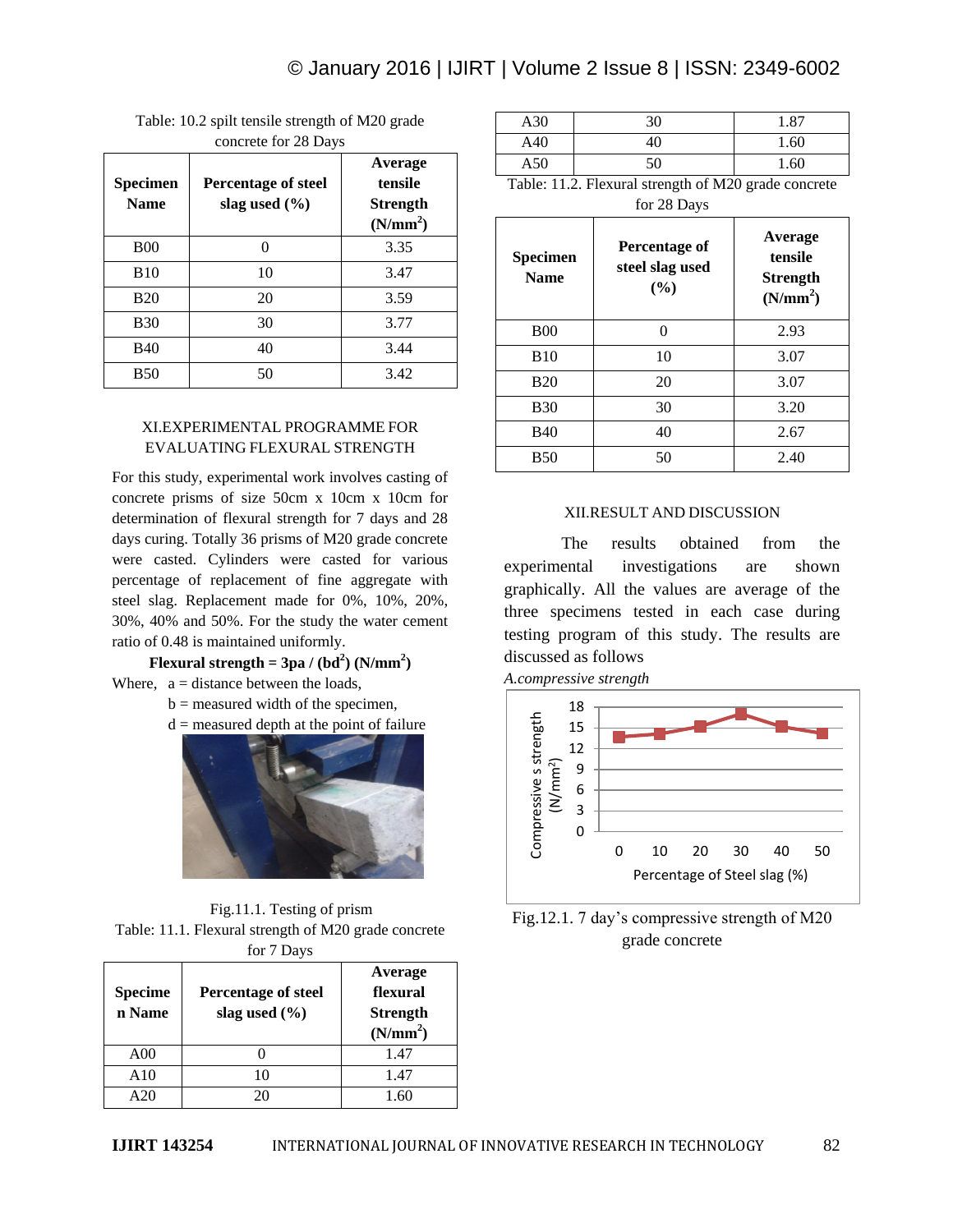| Specimen<br><b>Name</b> | <b>Percentage of steel</b><br>slag used $(\% )$ | Average<br>tensile<br><b>Strength</b><br>(N/mm <sup>2</sup> ) |
|-------------------------|-------------------------------------------------|---------------------------------------------------------------|
| <b>B00</b>              | 0                                               | 3.35                                                          |
| <b>B</b> 10             | 10                                              | 3.47                                                          |
| <b>B20</b>              | 20                                              | 3.59                                                          |
| <b>B30</b>              | 30                                              | 3.77                                                          |
| <b>B40</b>              | 40                                              | 3.44                                                          |
| <b>B50</b>              | 50                                              | 3.42                                                          |

Table: 10.2 spilt tensile strength of M20 grade concrete for 28 Days

## XI.EXPERIMENTAL PROGRAMME FOR EVALUATING FLEXURAL STRENGTH

For this study, experimental work involves casting of concrete prisms of size 50cm x 10cm x 10cm for determination of flexural strength for 7 days and 28 days curing. Totally 36 prisms of M20 grade concrete were casted. Cylinders were casted for various percentage of replacement of fine aggregate with steel slag. Replacement made for 0%, 10%, 20%, 30%, 40% and 50%. For the study the water cement ratio of 0.48 is maintained uniformly.

**Flexural strength = 3pa /**  $(bd^2)$  $(N/mm^2)$ Where,  $a = distance between the loads$ ,

- $b =$  measured width of the specimen,
- $d =$  measured depth at the point of failure



Fig.11.1. Testing of prism Table: 11.1. Flexural strength of M20 grade concrete for 7 Days

| <b>Specime</b><br>n Name | $\sim$ $\sim$ $\sim$ $\sim$ $\sim$ $\sim$<br><b>Percentage of steel</b><br>slag used $(\% )$ | Average<br>flexural<br><b>Strength</b><br>(N/mm <sup>2</sup> ) |
|--------------------------|----------------------------------------------------------------------------------------------|----------------------------------------------------------------|
| A00                      |                                                                                              | 1.47                                                           |
| A10                      | 10                                                                                           | 1.47                                                           |
| A20                      |                                                                                              | 1.60                                                           |

| A30 | 30 | 1.87 |
|-----|----|------|
| A40 | 40 | 1.60 |
| A50 | 50 | 1.60 |

Table: 11.2. Flexural strength of M20 grade concrete for 28 Days

| <b>Specimen</b><br><b>Name</b> | <b>Percentage of</b><br>steel slag used<br>(%) | Average<br>tensile<br><b>Strength</b><br>(N/mm <sup>2</sup> ) |
|--------------------------------|------------------------------------------------|---------------------------------------------------------------|
| <b>B00</b>                     | ∩                                              | 2.93                                                          |
| <b>B10</b>                     | 10                                             | 3.07                                                          |
| <b>B20</b>                     | 20                                             | 3.07                                                          |
| <b>B</b> 30                    | 30                                             | 3.20                                                          |
| <b>B40</b>                     | 40                                             | 2.67                                                          |
| <b>B50</b>                     | 50                                             | 2.40                                                          |

# XII.RESULT AND DISCUSSION

The results obtained from the experimental investigations are shown graphically. All the values are average of the three specimens tested in each case during testing program of this study. The results are discussed as follows





Fig.12.1. 7 day's compressive strength of M20 grade concrete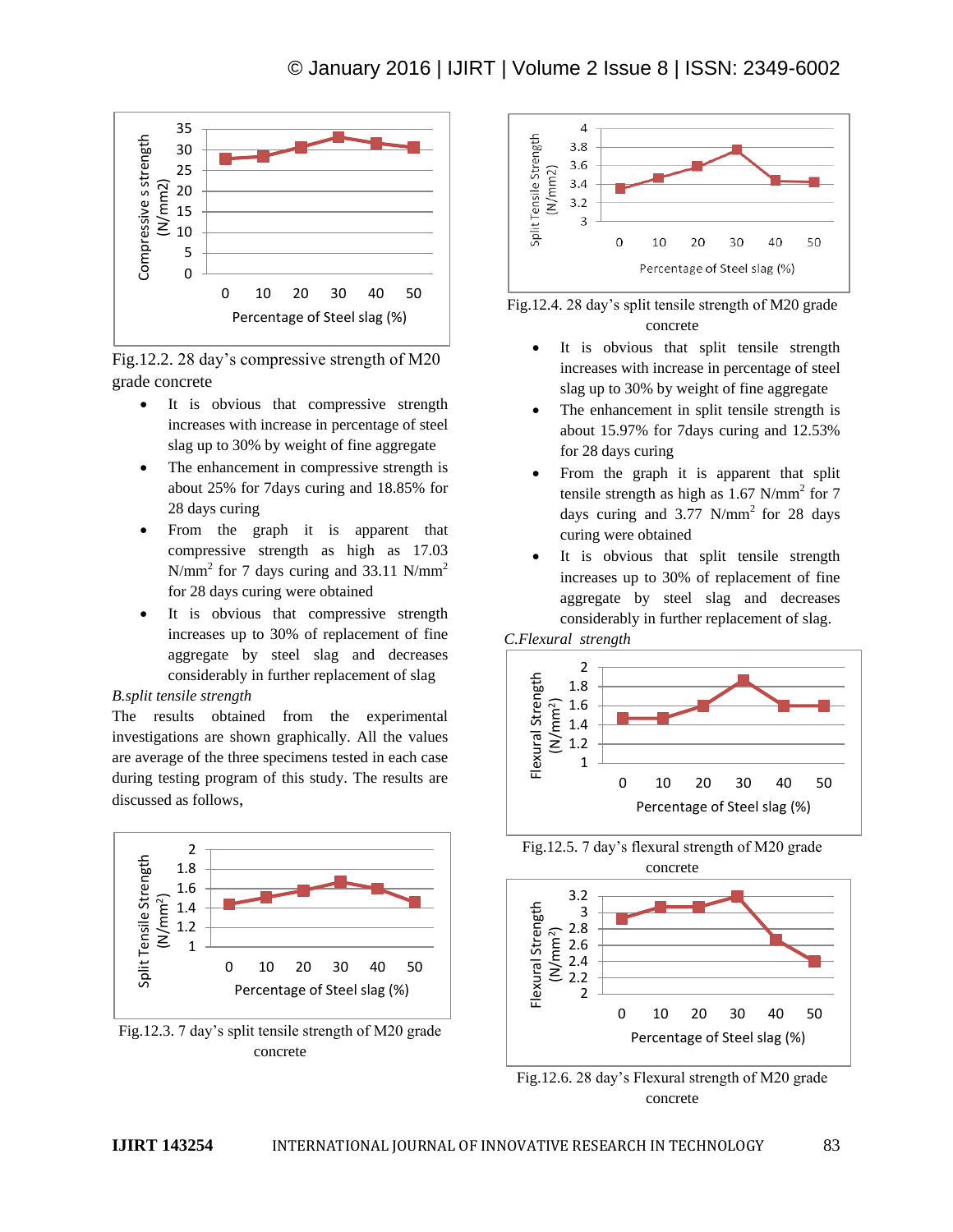

Fig.12.2. 28 day's compressive strength of M20 grade concrete

- It is obvious that compressive strength increases with increase in percentage of steel slag up to 30% by weight of fine aggregate
- The enhancement in compressive strength is about 25% for 7days curing and 18.85% for 28 days curing
- From the graph it is apparent that compressive strength as high as 17.03 N/mm<sup>2</sup> for 7 days curing and 33.11 N/mm<sup>2</sup> for 28 days curing were obtained
- It is obvious that compressive strength increases up to 30% of replacement of fine aggregate by steel slag and decreases considerably in further replacement of slag

### *B.split tensile strength*

The results obtained from the experimental investigations are shown graphically. All the values are average of the three specimens tested in each case during testing program of this study. The results are discussed as follows,



Fig.12.3. 7 day's split tensile strength of M20 grade concrete





- It is obvious that split tensile strength increases with increase in percentage of steel slag up to 30% by weight of fine aggregate
- The enhancement in split tensile strength is about 15.97% for 7days curing and 12.53% for 28 days curing
- From the graph it is apparent that split tensile strength as high as  $1.67$  N/mm<sup>2</sup> for 7 days curing and  $3.77$  N/mm<sup>2</sup> for 28 days curing were obtained
- It is obvious that split tensile strength increases up to 30% of replacement of fine aggregate by steel slag and decreases considerably in further replacement of slag.





Fig.12.5. 7 day's flexural strength of M20 grade concrete



Fig.12.6. 28 day's Flexural strength of M20 grade concrete